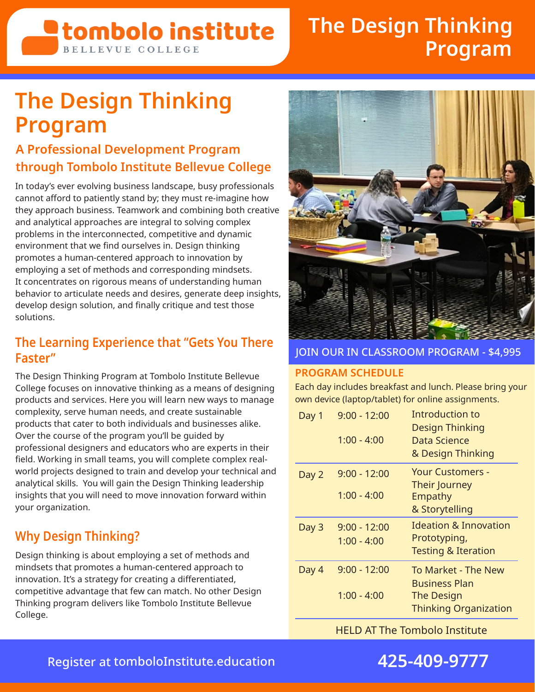## **<u>Etombolo</u>** institute **BELLEVUE COLLEGE**

# **The Design Thinking Program**

# **The Design Thinking Program**

### **A Professional Development Program through Tombolo Institute Bellevue College**

In today's ever evolving business landscape, busy professionals cannot afford to patiently stand by; they must re-imagine how they approach business. Teamwork and combining both creative and analytical approaches are integral to solving complex problems in the interconnected, competitive and dynamic environment that we find ourselves in. Design thinking promotes a human-centered approach to innovation by employing a set of methods and corresponding mindsets. It concentrates on rigorous means of understanding human behavior to articulate needs and desires, generate deep insights, develop design solution, and finally critique and test those solutions.

### **The Learning Experience that "Gets You There Faster"**

The Design Thinking Program at Tombolo Institute Bellevue College focuses on innovative thinking as a means of designing products and services. Here you will learn new ways to manage complexity, serve human needs, and create sustainable products that cater to both individuals and businesses alike. Over the course of the program you'll be guided by professional designers and educators who are experts in their field. Working in small teams, you will complete complex realworld projects designed to train and develop your technical and analytical skills. You will gain the Design Thinking leadership insights that you will need to move innovation forward within your organization.

## **Why Design Thinking?**

Design thinking is about employing a set of methods and mindsets that promotes a human-centered approach to innovation. It's a strategy for creating a differentiated, competitive advantage that few can match. No other Design Thinking program delivers like Tombolo Institute Bellevue College.



#### JOIN OUR IN CLASSROOM PROGRAM - \$4,995

#### **PROGRAM SCHEDULE**

Each day includes breakfast and lunch. Please bring your own device (laptop/tablet) for online assignments.

| Day 1 | $9:00 - 12:00$<br>$1:00 - 4:00$ | Introduction to<br>Design Thinking<br>Data Science<br>& Design Thinking                   |
|-------|---------------------------------|-------------------------------------------------------------------------------------------|
| Day 2 | $9:00 - 12:00$<br>$1:00 - 4:00$ | Your Customers -<br>Their Journey<br>Empathy                                              |
|       |                                 | & Storytelling                                                                            |
| Day 3 | $9:00 - 12:00$<br>$1:00 - 4:00$ | Ideation & Innovation<br>Prototyping,<br><b>Testing &amp; Iteration</b>                   |
| Day 4 | $9:00 - 12:00$<br>$1:00 - 4:00$ | To Market - The New<br><b>Business Plan</b><br>The Design<br><b>Thinking Organization</b> |

HELD AT The Tombolo Institute



## Register at [tomboloInstitute.education](http://tomboloInstitute.education) **425-409-9777**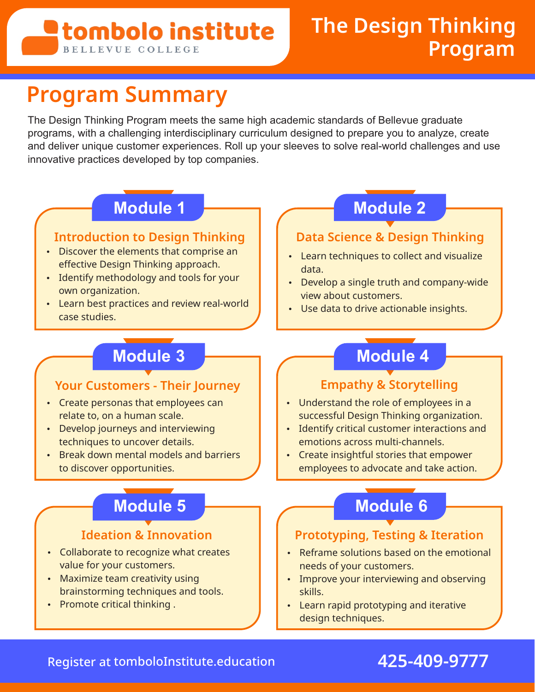## stombolo institute **BELLEVUE COLLEGE**

# **Program Summary**

The Design Thinking Program meets the same high academic standards of Bellevue graduate programs, with a challenging interdisciplinary curriculum designed to prepare you to analyze, create and deliver unique customer experiences. Roll up your sleeves to solve real-world challenges and use innovative practices developed by top companies.

#### **Introduction to Design Thinking**

- Discover the elements that comprise an effective Design Thinking approach.
- Identify methodology and tools for your own organization.
- Learn best practices and review real-world case studies.

#### **Your Customers - Their Journey**

- Create personas that employees can relate to, on a human scale.
- Develop journeys and interviewing techniques to uncover details.
- Break down mental models and barriers to discover opportunities.

- Collaborate to recognize what creates value for your customers.
- $\cdot$  Maximize team creativity using brainstorming techniques and tools.
- $\cdot$  Promote critical thinking .

## **Module 1 Module 2**

### **Data Science & Design Thinking**

- Learn techniques to collect and visualize data.
- Develop a single truth and company-wide view about customers.
- Use data to drive actionable insights.

## **Module 3 Module 4**

### **Empathy & Storytelling**

- Understand the role of employees in a successful Design Thinking organization.
- Identify critical customer interactions and emotions across multi-channels.
- Create insightful stories that empower employees to advocate and take action.

## **Module 5 Module 6**

### **Ideation & Innovation Prototyping, Testing & Iteration**

- Reframe solutions based on the emotional needs of your customers.
- Improve your interviewing and observing skills.
- Learn rapid prototyping and iterative design techniques.

## Register at [tomboloInstitute.education](http://tomboloInstitute.education) **425-409-9777**